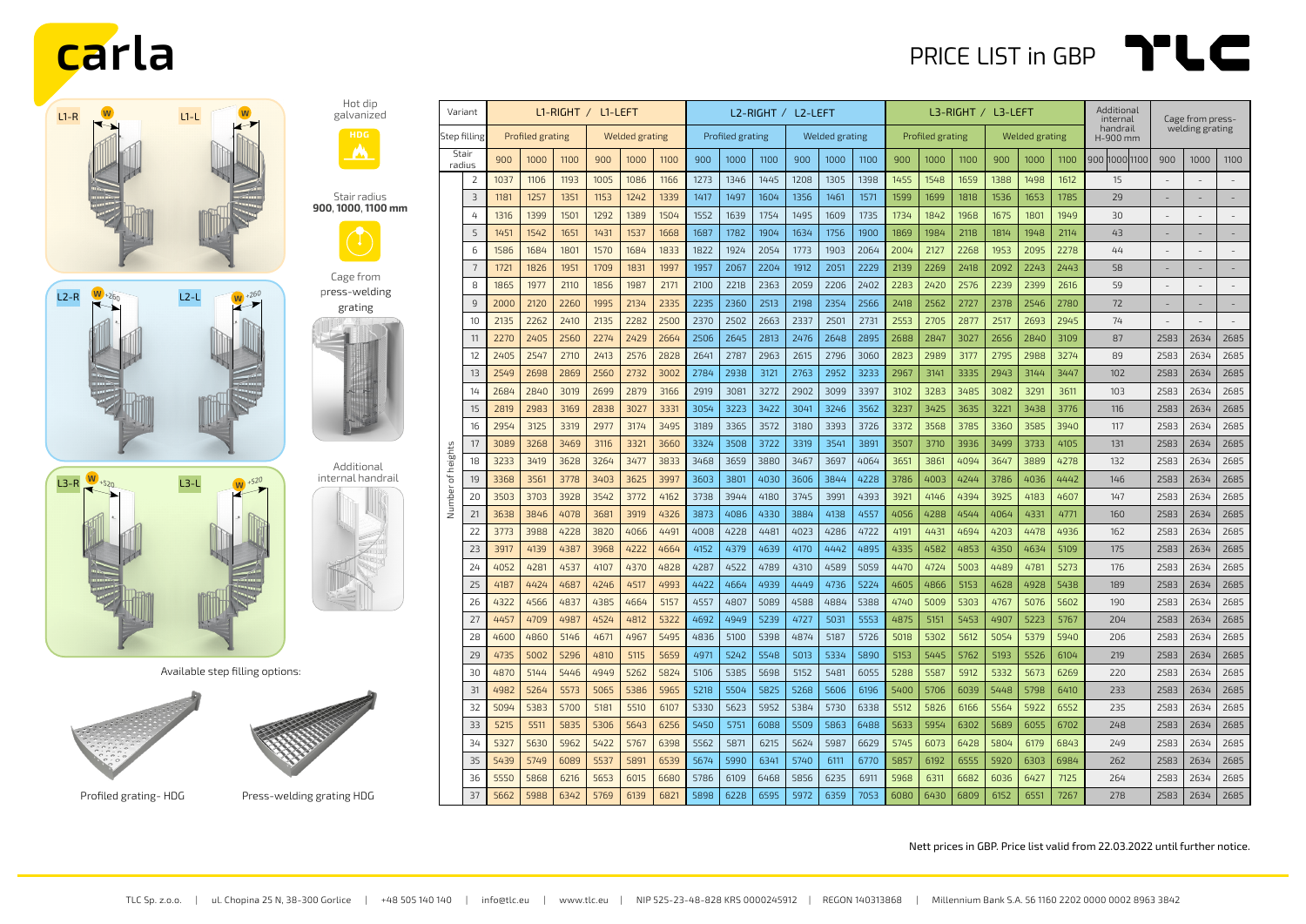







Hot dip galvanized

Stair radius **900**, **1000**, **1100 mm**

Cage from press-welding grating

Available step filling options:





Profiled grating-HDG Press-welding grating HDG

| Variant         |                | $LI-RIGHT / LI-LEFT$ |      |      |                       |      |      | L2-RIGHT / L2-LEFT |      |      |                |      |      | L3-RIGHT / L3-LEFT |      |      |                       |      | Additional<br>internal | Cage from press-     |                          |                          |                          |
|-----------------|----------------|----------------------|------|------|-----------------------|------|------|--------------------|------|------|----------------|------|------|--------------------|------|------|-----------------------|------|------------------------|----------------------|--------------------------|--------------------------|--------------------------|
| Step filling    |                | Profiled grating     |      |      | <b>Welded grating</b> |      |      | Profiled grating   |      |      | Welded grating |      |      | Profiled grating   |      |      | <b>Welded grating</b> |      |                        | handrail<br>H-900 mm | welding grating          |                          |                          |
| Stair<br>radius |                | 900                  | 1000 | 1100 | 900                   | 1000 | 1100 | 900                | 1000 | 1100 | 900            | 1000 | 1100 | 900                | 1000 | 1100 | 900                   | 1000 | 1100                   | 900 1000 1100        | 900                      | 1000                     | 1100                     |
|                 | $\overline{2}$ | 1037                 | 1106 | 1193 | 1005                  | 1086 | 1166 | 1273               | 1346 | 1445 | 1208           | 1305 | 1398 | 1455               | 1548 | 1659 | 1388                  | 1498 | 1612                   | 15                   |                          |                          |                          |
|                 | $\overline{3}$ | 1181                 | 1257 | 1351 | 1153                  | 1242 | 1339 | 1417               | 1497 | 1604 | 1356           | 1461 | 1571 | 1599               | 1699 | 1818 | 1536                  | 1653 | 1785                   | 29                   |                          | ÷,                       | $\overline{a}$           |
|                 | 4              | 1316                 | 1399 | 1501 | 1292                  | 1389 | 1504 | 1552               | 1639 | 1754 | 1495           | 1609 | 1735 | 1734               | 1842 | 1968 | 1675                  | 1801 | 1949                   | 30                   |                          | ÷,                       |                          |
|                 | 5              | 1451                 | 1542 | 1651 | 1431                  | 1537 | 1668 | 1687               | 1782 | 1904 | 1634           | 1756 | 1900 | 1869               | 1984 | 2118 | 1814                  | 1948 | 2114                   | 43                   | $\overline{\phantom{a}}$ | $\overline{\phantom{a}}$ | $\overline{\phantom{a}}$ |
|                 | 6              | 1586                 | 1684 | 1801 | 1570                  | 1684 | 1833 | 1822               | 1924 | 2054 | 1773           | 1903 | 2064 | 2004               | 2127 | 2268 | 1953                  | 2095 | 2278                   | 44                   |                          |                          |                          |
|                 | $\overline{7}$ | 1721                 | 1826 | 1951 | 1709                  | 1831 | 1997 | 1957               | 2067 | 2204 | 1912           | 2051 | 2229 | 2139               | 2269 | 2418 | 2092                  | 2243 | 2443                   | 58                   |                          | ٠                        |                          |
|                 | 8              | 1865                 | 1977 | 2110 | 1856                  | 1987 | 2171 | 2100               | 2218 | 2363 | 2059           | 2206 | 2402 | 2283               | 2420 | 2576 | 2239                  | 2399 | 2616                   | 59                   |                          |                          |                          |
|                 | 9              | 2000                 | 2120 | 2260 | 1995                  | 2134 | 2335 | 2235               | 2360 | 2513 | 2198           | 2354 | 2566 | 2418               | 2562 | 2727 | 2378                  | 2546 | 2780                   | 72                   | $\sim$                   | $\overline{\phantom{a}}$ | $\overline{\phantom{a}}$ |
|                 | 10             | 2135                 | 2262 | 2410 | 2135                  | 2282 | 2500 | 2370               | 2502 | 2663 | 2337           | 2501 | 2731 | 2553               | 2705 | 2877 | 2517                  | 2693 | 2945                   | 74                   | $\sim$                   | $\overline{\phantom{a}}$ |                          |
|                 | 11             | 2270                 | 2405 | 2560 | 2274                  | 2429 | 2664 | 2506               | 2645 | 2813 | 2476           | 2648 | 2895 | 2688               | 2847 | 3027 | 2656                  | 2840 | 3109                   | 87                   | 2583                     | 2634                     | 2685                     |
|                 | 12             | 2405                 | 2547 | 2710 | 2413                  | 2576 | 2828 | 2641               | 2787 | 2963 | 2615           | 2796 | 3060 | 2823               | 2989 | 3177 | 2795                  | 2988 | 3274                   | 89                   | 2583                     | 2634                     | 2685                     |
|                 | 13             | 2549                 | 2698 | 2869 | 2560                  | 2732 | 3002 | 2784               | 2938 | 3121 | 2763           | 2952 | 3233 | 2967               | 3141 | 3335 | 2943                  | 3144 | 3447                   | 102                  | 2583                     | 2634                     | 2685                     |
|                 | 14             | 2684                 | 2840 | 3019 | 2699                  | 2879 | 3166 | 2919               | 3081 | 3272 | 2902           | 3099 | 3397 | 3102               | 3283 | 3485 | 3082                  | 3291 | 3611                   | 103                  | 2583                     | 2634                     | 2685                     |
|                 | 15             | 2819                 | 2983 | 3169 | 2838                  | 3027 | 3331 | 3054               | 3223 | 3422 | 3041           | 3246 | 3562 | 3237               | 3425 | 3635 | 3221                  | 3438 | 3776                   | 116                  | 2583                     | 2634                     | 2685                     |
|                 | 16             | 2954                 | 3125 | 3319 | 2977                  | 3174 | 3495 | 3189               | 3365 | 3572 | 3180           | 3393 | 3726 | 3372               | 3568 | 3785 | 3360                  | 3585 | 3940                   | 117                  | 2583                     | 2634                     | 2685                     |
|                 | 17             | 3089                 | 3268 | 3469 | 3116                  | 3321 | 3660 | 3324               | 3508 | 3722 | 3319           | 3541 | 3891 | 3507               | 3710 | 3936 | 3499                  | 3733 | 4105                   | 131                  | 2583                     | 2634                     | 2685                     |
| of heights      | 18             | 3233                 | 3419 | 3628 | 3264                  | 3477 | 3833 | 3468               | 3659 | 3880 | 3467           | 3697 | 4064 | 3651               | 3861 | 4094 | 3647                  | 3889 | 4278                   | 132                  | 2583                     | 2634                     | 2685                     |
|                 | 19             | 3368                 | 3561 | 3778 | 3403                  | 3625 | 3997 | 3603               | 3801 | 4030 | 3606           | 3844 | 4228 | 3786               | 4003 | 4244 | 3786                  | 4036 | 4442                   | 146                  | 2583                     | 2634                     | 2685                     |
| Number          | 20             | 3503                 | 3703 | 3928 | 3542                  | 3772 | 4162 | 3738               | 3944 | 4180 | 3745           | 3991 | 4393 | 3921               | 4146 | 4394 | 3925                  | 4183 | 4607                   | 147                  | 2583                     | 2634                     | 2685                     |
|                 | 21             | 3638                 | 3846 | 4078 | 3681                  | 3919 | 4326 | 3873               | 4086 | 4330 | 3884           | 4138 | 4557 | 4056               | 4288 | 4544 | 4064                  | 4331 | 4771                   | 160                  | 2583                     | 2634                     | 2685                     |
|                 | 22             | 3773                 | 3988 | 4228 | 3820                  | 4066 | 4491 | 4008               | 4228 | 4481 | 4023           | 4286 | 4722 | 4191               | 4431 | 4694 | 4203                  | 4478 | 4936                   | 162                  | 2583                     | 2634                     | 2685                     |
|                 | 23             | 3917                 | 4139 | 4387 | 3968                  | 4222 | 4664 | 4152               | 4379 | 4639 | 4170           | 4442 | 4895 | 4335               | 4582 | 4853 | 4350                  | 4634 | 5109                   | 175                  | 2583                     | 2634                     | 2685                     |
|                 | 24             | 4052                 | 4281 | 4537 | 4107                  | 4370 | 4828 | 4287               | 4522 | 4789 | 4310           | 4589 | 5059 | 4470               | 4724 | 5003 | 4489                  | 4781 | 5273                   | 176                  | 2583                     | 2634                     | 2685                     |
|                 | 25             | 4187                 | 4424 | 4687 | 4246                  | 4517 | 4993 | 4422               | 4664 | 4939 | 4449           | 4736 | 5224 | 4605               | 4866 | 5153 | 4628                  | 4928 | 5438                   | 189                  | 2583                     | 2634                     | 2685                     |
|                 | 26             | 4322                 | 4566 | 4837 | 4385                  | 4664 | 5157 | 4557               | 4807 | 5089 | 4588           | 4884 | 5388 | 4740               | 5009 | 5303 | 4767                  | 5076 | 5602                   | 190                  | 2583                     | 2634                     | 2685                     |
|                 | 27             | 4457                 | 4709 | 4987 | 4524                  | 4812 | 5322 | 4692               | 4949 | 5239 | 4727           | 5031 | 5553 | 4875               | 5151 | 5453 | 4907                  | 5223 | 5767                   | 204                  | 2583                     | 2634                     | 2685                     |
|                 | 28             | 4600                 | 4860 | 5146 | 4671                  | 4967 | 5495 | 4836               | 5100 | 5398 | 4874           | 5187 | 5726 | 5018               | 5302 | 5612 | 5054                  | 5379 | 5940                   | 206                  | 2583                     | 2634                     | 2685                     |
|                 | 29             | 4735                 | 5002 | 5296 | 4810                  | 5115 | 5659 | 4971               | 5242 | 5548 | 5013           | 5334 | 5890 | 5153               | 5445 | 5762 | 5193                  | 5526 | 6104                   | 219                  | 2583                     | 2634                     | 2685                     |
|                 | 30             | 4870                 | 5144 | 5446 | 4949                  | 5262 | 5824 | 5106               | 5385 | 5698 | 5152           | 5481 | 6055 | 5288               | 5587 | 5912 | 5332                  | 5673 | 6269                   | 220                  | 2583                     | 2634                     | 2685                     |
|                 | 31             | 4982                 | 5264 | 5573 | 5065                  | 5386 | 5965 | 5218               | 5504 | 5825 | 5268           | 5606 | 6196 | 5400               | 5706 | 6039 | 5448                  | 5798 | 6410                   | 233                  | 2583                     | 2634                     | 2685                     |
|                 | 32             | 5094                 | 5383 | 5700 | 5181                  | 5510 | 6107 | 5330               | 5623 | 5952 | 5384           | 5730 | 6338 | 5512               | 5826 | 6166 | 5564                  | 5922 | 6552                   | 235                  | 2583                     | 2634                     | 2685                     |
|                 | 33             | 5215                 | 5511 | 5835 | 5306                  | 5643 | 6256 | 5450               | 5751 | 6088 | 5509           | 5863 | 6488 | 5633               | 5954 | 6302 | 5689                  | 6055 | 6702                   | 248                  | 2583                     | 2634                     | 2685                     |
|                 | 34             | 5327                 | 5630 | 5962 | 5422                  | 5767 | 6398 | 5562               | 5871 | 6215 | 5624           | 5987 | 6629 | 5745               | 6073 | 6428 | 5804                  | 6179 | 6843                   | 249                  | 2583                     | 2634                     | 2685                     |
|                 | 35             | 5439                 | 5749 | 6089 | 5537                  | 5891 | 6539 | 5674               | 5990 | 6341 | 5740           | 6111 | 6770 | 5857               | 6192 | 6555 | 5920                  | 6303 | 6984                   | 262                  | 2583                     | 2634                     | 2685                     |
|                 | 36             | 5550                 | 5868 | 6216 | 5653                  | 6015 | 6680 | 5786               | 6109 | 6468 | 5856           | 6235 | 6911 | 5968               | 6311 | 6682 | 6036                  | 6427 | 7125                   | 264                  | 2583                     | 2634                     | 2685                     |
|                 | 37             | 5662                 | 5988 | 6342 | 5769                  | 6139 | 6821 | 5898               | 6228 | 6595 | 5972           | 6359 | 7053 | 6080               | 6430 | 6809 | 6152                  | 6551 | 7267                   | 278                  | 2583                     | 2634                     | 2685                     |

Nett prices in GBP. Price list valid from 22.03.2022 until further notice.